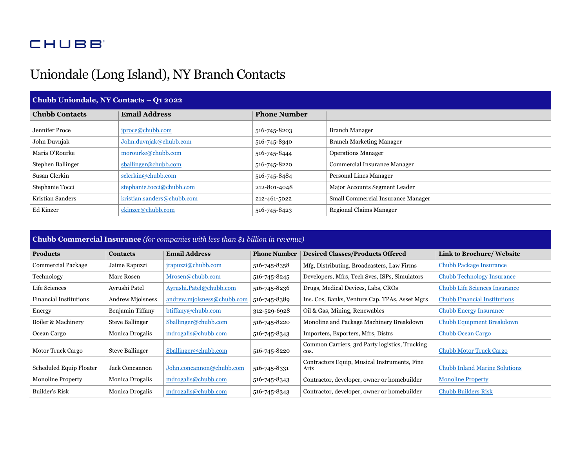## **CHUBB**

## Uniondale (Long Island), NY Branch Contacts

| Chubb Uniondale, NY Contacts - Q1 2022 |                            |                     |                                    |  |  |  |
|----------------------------------------|----------------------------|---------------------|------------------------------------|--|--|--|
| <b>Chubb Contacts</b>                  | <b>Email Address</b>       | <b>Phone Number</b> |                                    |  |  |  |
| Jennifer Proce                         | iproce@chubb.com           | 516-745-8203        | <b>Branch Manager</b>              |  |  |  |
| John Duvnjak                           | John.duvnjak@chubb.com     | 516-745-8340        | <b>Branch Marketing Manager</b>    |  |  |  |
| Maria O'Rourke                         | morourke@chubb.com         | 516-745-8444        | <b>Operations Manager</b>          |  |  |  |
| Stephen Ballinger                      | sballinger@chubb.com       | 516-745-8220        | Commercial Insurance Manager       |  |  |  |
| Susan Clerkin                          | sclerkin@chubb.com         | 516-745-8484        | Personal Lines Manager             |  |  |  |
| Stephanie Tocci                        | stephanie.tocci@chubb.com  | 212-801-4048        | Major Accounts Segment Leader      |  |  |  |
| Kristian Sanders                       | kristian.sanders@chubb.com | 212-461-5022        | Small Commercial Insurance Manager |  |  |  |
| Ed Kinzer                              | ekinzer@chubb.com          | 516-745-8423        | Regional Claims Manager            |  |  |  |

## **Chubb Commercial Insurance** *(for companies with less than \$1 billion in revenue)*

| <b>Products</b>               | <b>Contacts</b>         | <b>Email Address</b>       | <b>Phone Number</b> | <b>Desired Classes/Products Offered</b>                | <b>Link to Brochure/ Website</b>     |
|-------------------------------|-------------------------|----------------------------|---------------------|--------------------------------------------------------|--------------------------------------|
| <b>Commercial Package</b>     | Jaime Rapuzzi           | irapuzzi@chubb.com         | 516-745-8358        | Mfg, Distributing, Broadcasters, Law Firms             | <b>Chubb Package Insurance</b>       |
| Technology                    | Marc Rosen              | Mrosen@chubb.com           | 516-745-8245        | Developers, Mfrs, Tech Svcs, ISPs, Simulators          | <b>Chubb Technology Insurance</b>    |
| Life Sciences                 | Ayrushi Patel           | Ayrushi.Patel@chubb.com    | 516-745-8236        | Drugs, Medical Devices, Labs, CROs                     | <b>Chubb Life Sciences Insurance</b> |
| <b>Financial Institutions</b> | <b>Andrew Mjolsness</b> | andrew.mjolsness@chubb.com | 516-745-8389        | Ins. Cos, Banks, Venture Cap, TPAs, Asset Mgrs         | <b>Chubb Financial Institutions</b>  |
| Energy                        | Benjamin Tiffany        | btiffany@chubb.com         | 312-529-6928        | Oil & Gas, Mining, Renewables                          | <b>Chubb Energy Insurance</b>        |
| Boiler & Machinery            | <b>Steve Ballinger</b>  | Sballinger@chubb.com       | 516-745-8220        | Monoline and Package Machinery Breakdown               | <b>Chubb Equipment Breakdown</b>     |
| Ocean Cargo                   | Monica Drogalis         | mdrogalis@chubb.com        | 516-745-8343        | Importers, Exporters, Mfrs, Distrs                     | Chubb Ocean Cargo                    |
| Motor Truck Cargo             | <b>Steve Ballinger</b>  | Sballinger@chubb.com       | 516-745-8220        | Common Carriers, 3rd Party logistics, Trucking<br>cos. | <b>Chubb Motor Truck Cargo</b>       |
| Scheduled Equip Floater       | Jack Concannon          | John.concannon@chubb.com   | 516-745-8331        | Contractors Equip, Musical Instruments, Fine<br>Arts   | <b>Chubb Inland Marine Solutions</b> |
| <b>Monoline Property</b>      | Monica Drogalis         | mdrogalis@chubb.com        | 516-745-8343        | Contractor, developer, owner or homebuilder            | <b>Monoline Property</b>             |
| Builder's Risk                | Monica Drogalis         | mdrogalis@chubb.com        | 516-745-8343        | Contractor, developer, owner or homebuilder            | <b>Chubb Builders Risk</b>           |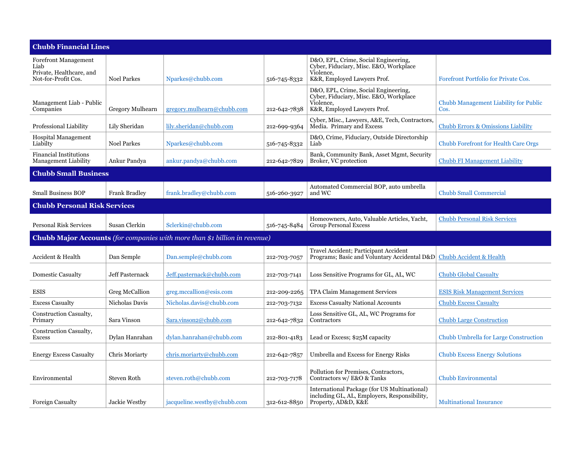| <b>Chubb Financial Lines</b>                                                           |                         |                             |              |                                                                                                                            |                                               |  |
|----------------------------------------------------------------------------------------|-------------------------|-----------------------------|--------------|----------------------------------------------------------------------------------------------------------------------------|-----------------------------------------------|--|
| <b>Forefront Management</b><br>Liab<br>Private, Healthcare, and<br>Not-for-Profit Cos. | <b>Noel Parkes</b>      | Nparkes@chubb.com           | 516-745-8332 | D&O, EPL, Crime, Social Engineering,<br>Cyber, Fiduciary, Misc. E&O, Workplace<br>Violence.<br>K&R, Employed Lawyers Prof. | Forefront Portfolio for Private Cos.          |  |
| Management Liab - Public<br>Companies                                                  | <b>Gregory Mulhearn</b> | gregory.mulhearn@chubb.com  | 212-642-7838 | D&O, EPL, Crime, Social Engineering,<br>Cyber, Fiduciary, Misc. E&O, Workplace<br>Violence.<br>K&R, Employed Lawyers Prof. | Chubb Management Liability for Public<br>Cos. |  |
| Professional Liability                                                                 | Lily Sheridan           | lily.sheridan@chubb.com     | 212-699-9364 | Cyber, Misc., Lawyers, A&E, Tech, Contractors,<br>Media. Primary and Excess                                                | <b>Chubb Errors &amp; Omissions Liability</b> |  |
| <b>Hospital Management</b><br>Liabilty                                                 | <b>Noel Parkes</b>      | Nparkes@chubb.com           | 516-745-8332 | D&O, Crime, Fiduciary, Outside Directorship<br>Liab                                                                        | <b>Chubb Forefront for Health Care Orgs</b>   |  |
| <b>Financial Institutions</b><br><b>Management Liability</b>                           | Ankur Pandya            | ankur.pandya@chubb.com      | 212-642-7829 | Bank, Community Bank, Asset Mgmt, Security<br>Broker, VC protection                                                        | <b>Chubb FI Management Liability</b>          |  |
| <b>Chubb Small Business</b>                                                            |                         |                             |              |                                                                                                                            |                                               |  |
| <b>Small Business BOP</b>                                                              | <b>Frank Bradley</b>    | frank.bradley@chubb.com     | 516-260-3927 | Automated Commercial BOP, auto umbrella<br>and WC                                                                          | <b>Chubb Small Commercial</b>                 |  |
| <b>Chubb Personal Risk Services</b>                                                    |                         |                             |              |                                                                                                                            |                                               |  |
| <b>Personal Risk Services</b>                                                          | Susan Clerkin           | Sclerkin@chubb.com          | 516-745-8484 | Homeowners, Auto, Valuable Articles, Yacht,<br><b>Group Personal Excess</b>                                                | <b>Chubb Personal Risk Services</b>           |  |
| Chubb Major Accounts (for companies with more than \$1 billion in revenue)             |                         |                             |              |                                                                                                                            |                                               |  |
| Accident & Health                                                                      | Dan Semple              | Dan.semple@chubb.com        | 212-703-7057 | Travel Accident; Participant Accident<br>Programs; Basic and Voluntary Accidental D&D                                      | Chubb Accident & Health                       |  |
| <b>Domestic Casualty</b>                                                               | Jeff Pasternack         | Jeff.pasternack@chubb.com   | 212-703-7141 | Loss Sensitive Programs for GL, AL, WC                                                                                     | <b>Chubb Global Casualty</b>                  |  |
| <b>ESIS</b>                                                                            | Greg McCallion          | greg.mccallion@esis.com     | 212-209-2265 | TPA Claim Management Services                                                                                              | <b>ESIS Risk Management Services</b>          |  |
| <b>Excess Casualty</b>                                                                 | Nicholas Davis          | Nicholas.davis@chubb.com    | 212-703-7132 | <b>Excess Casualty National Accounts</b>                                                                                   | <b>Chubb Excess Casualty</b>                  |  |
| Construction Casualty,<br>Primary                                                      | Sara Vinson             | Sara.vinson2@chubb.com      | 212-642-7832 | Loss Sensitive GL, AL, WC Programs for<br>Contractors                                                                      | <b>Chubb Large Construction</b>               |  |
| Construction Casualty,<br><b>Excess</b>                                                | Dylan Hanrahan          | dylan.hanrahan@chubb.com    | 212-801-4183 | Lead or Excess; \$25M capacity                                                                                             | Chubb Umbrella for Large Construction         |  |
| <b>Energy Excess Casualty</b>                                                          | Chris Moriarty          | chris.moriarty@chubb.com    | 212-642-7857 | Umbrella and Excess for Energy Risks                                                                                       | <b>Chubb Excess Energy Solutions</b>          |  |
| Environmental                                                                          | Steven Roth             | steven.roth@chubb.com       | 212-703-7178 | Pollution for Premises, Contractors,<br>Contractors w/ E&O & Tanks                                                         | <b>Chubb Environmental</b>                    |  |
| <b>Foreign Casualty</b>                                                                | Jackie Westby           | jacqueline.westby@chubb.com | 312-612-8850 | International Package (for US Multinational)<br>including GL, AL, Employers, Responsibility,<br>Property, AD&D, K&E        | <b>Multinational Insurance</b>                |  |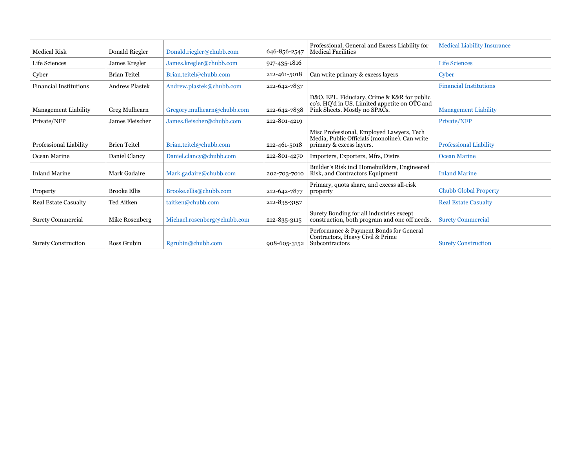| <b>Medical Risk</b>           | Donald Riegler        | Donald.riegler@chubb.com    | 646-856-2547 | Professional, General and Excess Liability for<br><b>Medical Facilities</b>                                                   | <b>Medical Liability Insurance</b> |
|-------------------------------|-----------------------|-----------------------------|--------------|-------------------------------------------------------------------------------------------------------------------------------|------------------------------------|
| Life Sciences                 | James Kregler         | James.kregler@chubb.com     | 917-435-1816 |                                                                                                                               | <b>Life Sciences</b>               |
| Cyber                         | <b>Brian Teitel</b>   | Brian.teitel@chubb.com      | 212-461-5018 | Can write primary & excess layers                                                                                             | Cyber                              |
| <b>Financial Institutions</b> | <b>Andrew Plastek</b> | Andrew.plastek@chubb.com    | 212-642-7837 |                                                                                                                               | <b>Financial Institutions</b>      |
| <b>Management Liability</b>   | Greg Mulhearn         | Gregory.mulhearn@chubb.com  | 212-642-7838 | D&O, EPL, Fiduciary, Crime & K&R for public<br>co's. HQ'd in US. Limited appetite on OTC and<br>Pink Sheets. Mostly no SPACs. | <b>Management Liability</b>        |
| Private/NFP                   | James Fleischer       | James.fleischer@chubb.com   | 212-801-4219 |                                                                                                                               | Private/NFP                        |
| Professional Liability        | <b>Brien Teitel</b>   | Brian.teitel@chubb.com      | 212-461-5018 | Misc Professional, Employed Lawyers, Tech<br>Media, Public Officials (monoline). Can write<br>primary & excess layers.        | <b>Professional Liability</b>      |
| Ocean Marine                  | Daniel Clancy         | Daniel.clancy@chubb.com     | 212-801-4270 | Importers, Exporters, Mfrs, Distrs                                                                                            | <b>Ocean Marine</b>                |
| <b>Inland Marine</b>          | Mark Gadaire          | Mark.gadaire@chubb.com      | 202-703-7010 | Builder's Risk incl Homebuilders, Engineered<br>Risk, and Contractors Equipment                                               | <b>Inland Marine</b>               |
| Property                      | <b>Brooke Ellis</b>   | Brooke.ellis@chubb.com      | 212-642-7877 | Primary, quota share, and excess all-risk<br>property                                                                         | <b>Chubb Global Property</b>       |
| <b>Real Estate Casualty</b>   | <b>Ted Aitken</b>     | taitken@chubb.com           | 212-835-3157 |                                                                                                                               | <b>Real Estate Casualty</b>        |
| <b>Surety Commercial</b>      | Mike Rosenberg        | Michael.rosenberg@chubb.com | 212-835-3115 | Surety Bonding for all industries except<br>construction, both program and one off needs.                                     | <b>Surety Commercial</b>           |
| <b>Surety Construction</b>    | Ross Grubin           | Rgrubin@chubb.com           | 908-605-3152 | Performance & Payment Bonds for General<br>Contractors, Heavy Civil & Prime<br>Subcontractors                                 | <b>Surety Construction</b>         |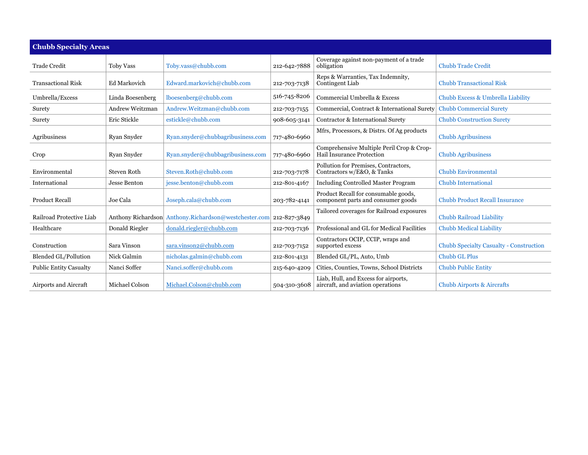| <b>Chubb Specialty Areas</b>  |                     |                                    |              |                                                                            |                                                |
|-------------------------------|---------------------|------------------------------------|--------------|----------------------------------------------------------------------------|------------------------------------------------|
| <b>Trade Credit</b>           | Toby Vass           | Toby.vass@chubb.com                | 212-642-7888 | Coverage against non-payment of a trade<br>obligation                      | <b>Chubb Trade Credit</b>                      |
| <b>Transactional Risk</b>     | Ed Markovich        | Edward.markovich@chubb.com         | 212-703-7138 | Reps & Warranties, Tax Indemnity,<br>Contingent Liab                       | <b>Chubb Transactional Risk</b>                |
| Umbrella/Excess               | Linda Boesenberg    | lboesenberg@chubb.com              | 516-745-8206 | Commercial Umbrella & Excess                                               | Chubb Excess & Umbrella Liability              |
| Surety                        | Andrew Weitzman     | Andrew.Weitzman@chubb.com          | 212-703-7155 | Commercial, Contract & International Surety                                | <b>Chubb Commercial Surety</b>                 |
| Surety                        | Eric Stickle        | estickle@chubb.com                 | 908-605-3141 | Contractor & International Surety                                          | <b>Chubb Construction Surety</b>               |
| Agribusiness                  | Ryan Snyder         | Ryan.snyder@chubbagribusiness.com  | 717-480-6960 | Mfrs, Processors, & Distrs. Of Ag products                                 | <b>Chubb Agribusiness</b>                      |
| Crop                          | Ryan Snyder         | Ryan.snyder@chubbagribusiness.com  | 717-480-6960 | Comprehensive Multiple Peril Crop & Crop-<br>Hail Insurance Protection     | <b>Chubb Agribusiness</b>                      |
| Environmental                 | Steven Roth         | Steven.Roth@chubb.com              | 212-703-7178 | Pollution for Premises, Contractors,<br>Contractors w/E&O, & Tanks         | Chubb Environmental                            |
| International                 | <b>Jesse Benton</b> | jesse.benton@chubb.com             | 212-801-4167 | <b>Including Controlled Master Program</b>                                 | <b>Chubb International</b>                     |
| <b>Product Recall</b>         | Joe Cala            | Joseph.cala@chubb.com              | 203-782-4141 | Product Recall for consumable goods,<br>component parts and consumer goods | <b>Chubb Product Recall Insurance</b>          |
| Railroad Protective Liab      | Anthony Richardson  | Anthony.Richardson@westchester.com | 212-827-3849 | Tailored coverages for Railroad exposures                                  | <b>Chubb Railroad Liability</b>                |
| Healthcare                    | Donald Riegler      | donald.riegler@chubb.com           | 212-703-7136 | Professional and GL for Medical Facilities                                 | <b>Chubb Medical Liability</b>                 |
| Construction                  | Sara Vinson         | sara.vinson2@chubb.com             | 212-703-7152 | Contractors OCIP, CCIP, wraps and<br>supported excess                      | <b>Chubb Specialty Casualty - Construction</b> |
| <b>Blended GL/Pollution</b>   | Nick Galmin         | nicholas.galmin@chubb.com          | 212-801-4131 | Blended GL/PL, Auto, Umb                                                   | <b>Chubb GL Plus</b>                           |
| <b>Public Entity Casualty</b> | Nanci Soffer        | Nanci.soffer@chubb.com             | 215-640-4209 | Cities, Counties, Towns, School Districts                                  | <b>Chubb Public Entity</b>                     |
| Airports and Aircraft         | Michael Colson      | Michael.Colson@chubb.com           | 504-310-3608 | Liab, Hull, and Excess for airports,<br>aircraft, and aviation operations  | <b>Chubb Airports &amp; Aircrafts</b>          |